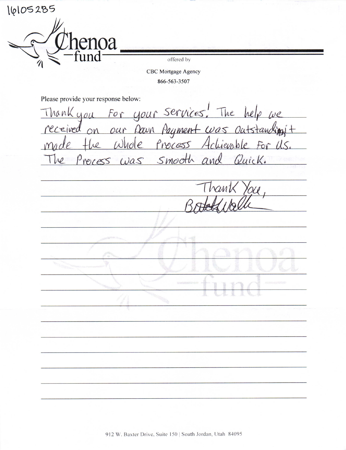16105285 enoa offered by CBC Mortgage Agency 866-563-3507 Please provide your response below: For your services. The help we<br>our Down Payment was outstanding t Thank you received  $\alpha$ Whole Process Achievable For U.S. Smooth an Quick. Precess was hant U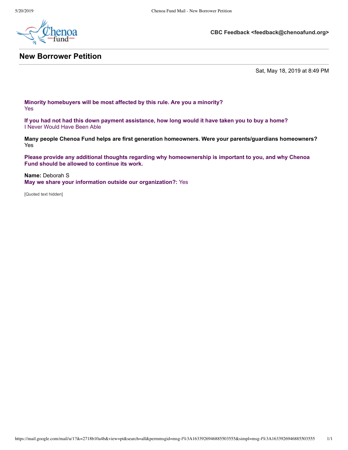

## **New Borrower Petition**

**CBC Feedback <feedback@chenoafund.org>**

Sat, May 18, 2019 at 8:49 PM

**Minority homebuyers will be most affected by this rule. Are you a minority?** Yes

**If you had not had this down payment assistance, how long would it have taken you to buy a home?** I Never Would Have Been Able

**Many people Chenoa Fund helps are first generation homeowners. Were your parents/guardians homeowners?** Yes

**Please provide any additional thoughts regarding why homeownership is important to you, and why Chenoa Fund should be allowed to continue its work.**

**Name:** Deborah S **May we share your information outside our organization?:** Yes

[Quoted text hidden]